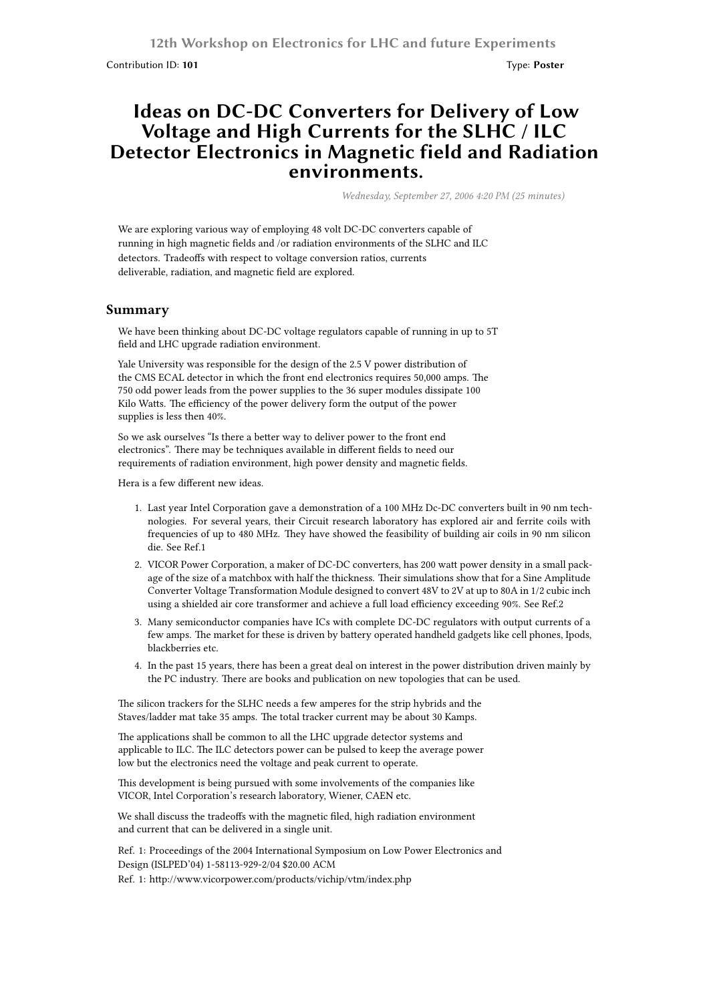Contribution ID: **101** Type: **Poster**

## **Ideas on DC-DC Converters for Delivery of Low Voltage and High Currents for the SLHC / ILC Detector Electronics in Magnetic field and Radiation environments.**

*Wednesday, September 27, 2006 4:20 PM (25 minutes)*

We are exploring various way of employing 48 volt DC-DC converters capable of running in high magnetic fields and /or radiation environments of the SLHC and ILC detectors. Tradeoffs with respect to voltage conversion ratios, currents deliverable, radiation, and magnetic field are explored.

## **Summary**

We have been thinking about DC-DC voltage regulators capable of running in up to 5T field and LHC upgrade radiation environment.

Yale University was responsible for the design of the 2.5 V power distribution of the CMS ECAL detector in which the front end electronics requires 50,000 amps. The 750 odd power leads from the power supplies to the 36 super modules dissipate 100 Kilo Watts. The efficiency of the power delivery form the output of the power supplies is less then 40%.

So we ask ourselves "Is there a better way to deliver power to the front end electronics". There may be techniques available in different fields to need our requirements of radiation environment, high power density and magnetic fields.

Hera is a few different new ideas.

- 1. Last year Intel Corporation gave a demonstration of a 100 MHz Dc-DC converters built in 90 nm technologies. For several years, their Circuit research laboratory has explored air and ferrite coils with frequencies of up to 480 MHz. They have showed the feasibility of building air coils in 90 nm silicon die. See Ref.1
- 2. VICOR Power Corporation, a maker of DC-DC converters, has 200 watt power density in a small package of the size of a matchbox with half the thickness. Their simulations show that for a Sine Amplitude Converter Voltage Transformation Module designed to convert 48V to 2V at up to 80A in 1/2 cubic inch using a shielded air core transformer and achieve a full load efficiency exceeding 90%. See Ref.2
- 3. Many semiconductor companies have ICs with complete DC-DC regulators with output currents of a few amps. The market for these is driven by battery operated handheld gadgets like cell phones, Ipods, blackberries etc.
- 4. In the past 15 years, there has been a great deal on interest in the power distribution driven mainly by the PC industry. There are books and publication on new topologies that can be used.

The silicon trackers for the SLHC needs a few amperes for the strip hybrids and the Staves/ladder mat take 35 amps. The total tracker current may be about 30 Kamps.

The applications shall be common to all the LHC upgrade detector systems and applicable to ILC. The ILC detectors power can be pulsed to keep the average power low but the electronics need the voltage and peak current to operate.

This development is being pursued with some involvements of the companies like VICOR, Intel Corporation's research laboratory, Wiener, CAEN etc.

We shall discuss the tradeoffs with the magnetic filed, high radiation environment and current that can be delivered in a single unit.

Ref. 1: Proceedings of the 2004 International Symposium on Low Power Electronics and Design (ISLPED'04) 1-58113-929-2/04 \$20.00 ACM

Ref. 1: http://www.vicorpower.com/products/vichip/vtm/index.php